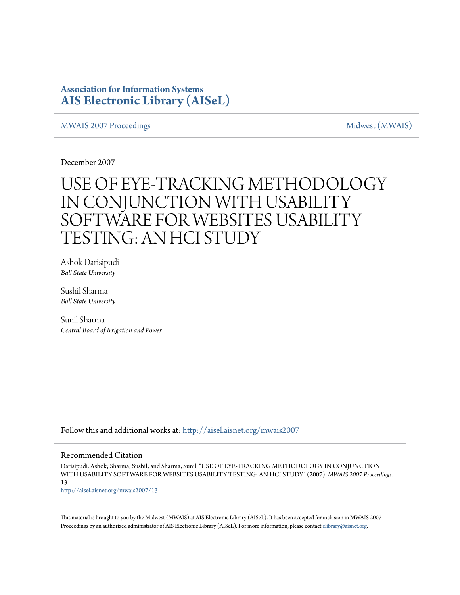### **Association for Information Systems [AIS Electronic Library \(AISeL\)](http://aisel.aisnet.org?utm_source=aisel.aisnet.org%2Fmwais2007%2F13&utm_medium=PDF&utm_campaign=PDFCoverPages)**

#### [MWAIS 2007 Proceedings](http://aisel.aisnet.org/mwais2007?utm_source=aisel.aisnet.org%2Fmwais2007%2F13&utm_medium=PDF&utm_campaign=PDFCoverPages) and the matrix of the [Midwest \(MWAIS\)](http://aisel.aisnet.org/mwais?utm_source=aisel.aisnet.org%2Fmwais2007%2F13&utm_medium=PDF&utm_campaign=PDFCoverPages)

December 2007

# USE OF EYE-TRACKING METHODOLOGY IN CONJUNCTION WITH USABILITY SOFTWARE FOR WEBSITES USABILITY TESTING: AN HCI STUDY

Ashok Darisipudi *Ball State University*

Sushil Sharma *Ball State University*

Sunil Sharma *Central Board of Irrigation and Power*

Follow this and additional works at: [http://aisel.aisnet.org/mwais2007](http://aisel.aisnet.org/mwais2007?utm_source=aisel.aisnet.org%2Fmwais2007%2F13&utm_medium=PDF&utm_campaign=PDFCoverPages)

#### Recommended Citation

Darisipudi, Ashok; Sharma, Sushil; and Sharma, Sunil, "USE OF EYE-TRACKING METHODOLOGY IN CONJUNCTION WITH USABILITY SOFTWARE FOR WEBSITES USABILITY TESTING: AN HCI STUDY" (2007). *MWAIS 2007 Proceedings*. 13. [http://aisel.aisnet.org/mwais2007/13](http://aisel.aisnet.org/mwais2007/13?utm_source=aisel.aisnet.org%2Fmwais2007%2F13&utm_medium=PDF&utm_campaign=PDFCoverPages)

This material is brought to you by the Midwest (MWAIS) at AIS Electronic Library (AISeL). It has been accepted for inclusion in MWAIS 2007 Proceedings by an authorized administrator of AIS Electronic Library (AISeL). For more information, please contact [elibrary@aisnet.org](mailto:elibrary@aisnet.org%3E).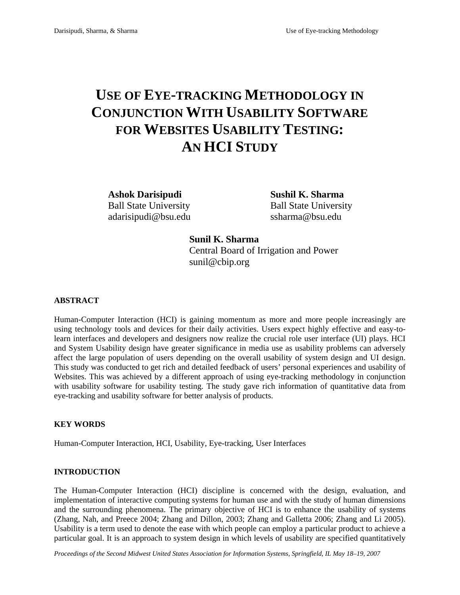## **USE OF EYE-TRACKING METHODOLOGY IN CONJUNCTION WITH USABILITY SOFTWARE FOR WEBSITES USABILITY TESTING: AN HCI STUDY**

**Ashok Darisipudi Sushil K. Sharma**  Ball State University Ball State University adarisipudi@bsu.edu ssharma@bsu.edu

**Sunil K. Sharma**  Central Board of Irrigation and Power sunil@cbip.org

#### **ABSTRACT**

Human-Computer Interaction (HCI) is gaining momentum as more and more people increasingly are using technology tools and devices for their daily activities. Users expect highly effective and easy-tolearn interfaces and developers and designers now realize the crucial role user interface (UI) plays. HCI and System Usability design have greater significance in media use as usability problems can adversely affect the large population of users depending on the overall usability of system design and UI design. This study was conducted to get rich and detailed feedback of users' personal experiences and usability of Websites. This was achieved by a different approach of using eye-tracking methodology in conjunction with usability software for usability testing. The study gave rich information of quantitative data from eye-tracking and usability software for better analysis of products.

#### **KEY WORDS**

Human-Computer Interaction, HCI, Usability, Eye-tracking, User Interfaces

#### **INTRODUCTION**

The Human-Computer Interaction (HCI) discipline is concerned with the design, evaluation, and implementation of interactive computing systems for human use and with the study of human dimensions and the surrounding phenomena. The primary objective of HCI is to enhance the usability of systems (Zhang, Nah, and Preece 2004; Zhang and Dillon, 2003; Zhang and Galletta 2006; Zhang and Li 2005). Usability is a term used to denote the ease with which people can employ a particular product to achieve a particular goal. It is an approach to system design in which levels of usability are specified quantitatively

*Proceedings of the Second Midwest United States Association for Information Systems, Springfield, IL May 18–19, 2007*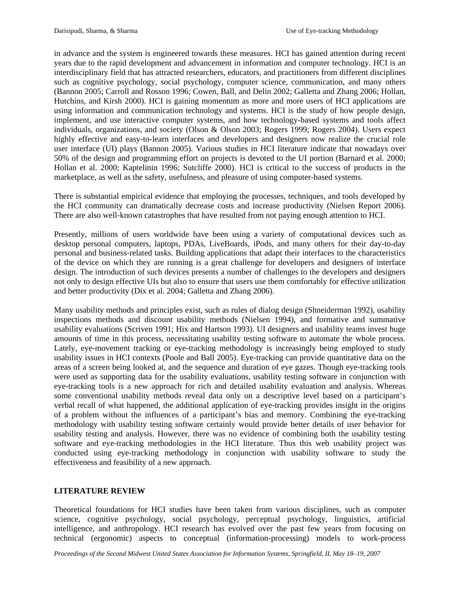in advance and the system is engineered towards these measures. HCI has gained attention during recent years due to the rapid development and advancement in information and computer technology. HCI is an interdisciplinary field that has attracted researchers, educators, and practitioners from different disciplines such as cognitive psychology, social psychology, computer science, communication, and many others (Bannon 2005; Carroll and Rosson 1996; Cowen, Ball, and Delin 2002; Galletta and Zhang 2006; Hollan, Hutchins, and Kirsh 2000). HCI is gaining momentum as more and more users of HCI applications are using information and communication technology and systems. HCI is the study of how people design, implement, and use interactive computer systems, and how technology-based systems and tools affect individuals, organizations, and society (Olson & Olson 2003; Rogers 1999; Rogers 2004). Users expect highly effective and easy-to-learn interfaces and developers and designers now realize the crucial role user interface (UI) plays (Bannon 2005). Various studies in HCI literature indicate that nowadays over 50% of the design and programming effort on projects is devoted to the UI portion (Barnard et al*.* 2000; Hollan et al. 2000; Kaptelinin 1996; Sutcliffe 2000). HCI is critical to the success of products in the marketplace, as well as the safety, usefulness, and pleasure of using computer-based systems.

There is substantial empirical evidence that employing the processes, techniques, and tools developed by the HCI community can dramatically decrease costs and increase productivity (Nielsen Report 2006). There are also well-known catastrophes that have resulted from not paying enough attention to HCI.

Presently, millions of users worldwide have been using a variety of computational devices such as desktop personal computers, laptops, PDAs, LiveBoards, iPods, and many others for their day-to-day personal and business-related tasks. Building applications that adapt their interfaces to the characteristics of the device on which they are running is a great challenge for developers and designers of interface design. The introduction of such devices presents a number of challenges to the developers and designers not only to design effective UIs but also to ensure that users use them comfortably for effective utilization and better productivity (Dix et al. 2004; Galletta and Zhang 2006).

Many usability methods and principles exist, such as rules of dialog design (Shneiderman 1992), usability inspections methods and discount usability methods (Nielsen 1994), and formative and summative usability evaluations (Scriven 1991; Hix and Hartson 1993). UI designers and usability teams invest huge amounts of time in this process, necessitating usability testing software to automate the whole process. Lately, eye-movement tracking or eye-tracking methodology is increasingly being employed to study usability issues in HCI contexts (Poole and Ball 2005). Eye-tracking can provide quantitative data on the areas of a screen being looked at, and the sequence and duration of eye gazes. Though eye-tracking tools were used as supporting data for the usability evaluations, usability testing software in conjunction with eye-tracking tools is a new approach for rich and detailed usability evaluation and analysis. Whereas some conventional usability methods reveal data only on a descriptive level based on a participant's verbal recall of what happened, the additional application of eye-tracking provides insight in the origins of a problem without the influences of a participant's bias and memory. Combining the eye-tracking methodology with usability testing software certainly would provide better details of user behavior for usability testing and analysis. However, there was no evidence of combining both the usability testing software and eye-tracking methodologies in the HCI literature. Thus this web usability project was conducted using eye-tracking methodology in conjunction with usability software to study the effectiveness and feasibility of a new approach.

#### **LITERATURE REVIEW**

Theoretical foundations for HCI studies have been taken from various disciplines, such as computer science, cognitive psychology, social psychology, perceptual psychology, linguistics, artificial intelligence, and anthropology. HCI research has evolved over the past few years from focusing on technical (ergonomic) aspects to conceptual (information-processing) models to work-process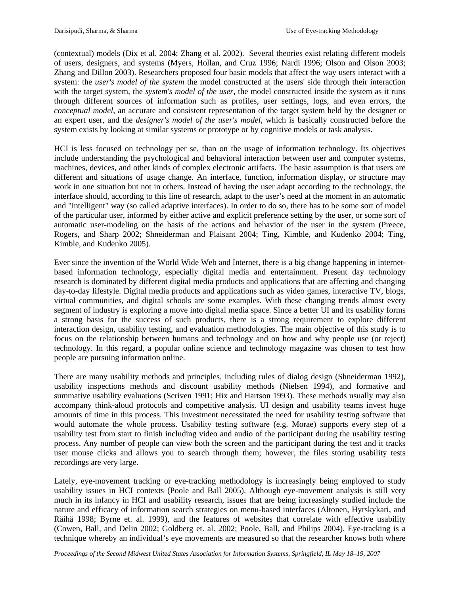(contextual) models (Dix et al. 2004; Zhang et al. 2002). Several theories exist relating different models of users, designers, and systems (Myers, Hollan, and Cruz 1996; Nardi 1996; Olson and Olson 2003; Zhang and Dillon 2003). Researchers proposed four basic models that affect the way users interact with a system: the *user's model of the system* the model constructed at the users' side through their interaction with the target system, the *system's model of the user*, the model constructed inside the system as it runs through different sources of information such as profiles, user settings, logs, and even errors, the *conceptual model*, an accurate and consistent representation of the target system held by the designer or an expert user, and the *designer's model of the user's model*, which is basically constructed before the system exists by looking at similar systems or prototype or by cognitive models or task analysis.

HCI is less focused on technology per se, than on the usage of information technology. Its objectives include understanding the psychological and behavioral interaction between user and computer systems, machines, devices, and other kinds of complex electronic artifacts. The basic assumption is that users are different and situations of usage change. An interface, function, information display, or structure may work in one situation but not in others. Instead of having the user adapt according to the technology, the interface should, according to this line of research, adapt to the user's need at the moment in an automatic and "intelligent" way (so called adaptive interfaces). In order to do so, there has to be some sort of model of the particular user, informed by either active and explicit preference setting by the user, or some sort of automatic user-modeling on the basis of the actions and behavior of the user in the system (Preece, Rogers, and Sharp 2002; Shneiderman and Plaisant 2004; Ting, Kimble, and Kudenko 2004; Ting, Kimble, and Kudenko 2005).

Ever since the invention of the World Wide Web and Internet, there is a big change happening in internetbased information technology, especially digital media and entertainment. Present day technology research is dominated by different digital media products and applications that are affecting and changing day-to-day lifestyle. Digital media products and applications such as video games, interactive TV, blogs, virtual communities, and digital schools are some examples. With these changing trends almost every segment of industry is exploring a move into digital media space. Since a better UI and its usability forms a strong basis for the success of such products, there is a strong requirement to explore different interaction design, usability testing, and evaluation methodologies. The main objective of this study is to focus on the relationship between humans and technology and on how and why people use (or reject) technology. In this regard, a popular online science and technology magazine was chosen to test how people are pursuing information online.

There are many usability methods and principles, including rules of dialog design (Shneiderman 1992), usability inspections methods and discount usability methods (Nielsen 1994), and formative and summative usability evaluations (Scriven 1991; Hix and Hartson 1993). These methods usually may also accompany think-aloud protocols and competitive analysis. UI design and usability teams invest huge amounts of time in this process. This investment necessitated the need for usability testing software that would automate the whole process. Usability testing software (e.g. Morae) supports every step of a usability test from start to finish including video and audio of the participant during the usability testing process. Any number of people can view both the screen and the participant during the test and it tracks user mouse clicks and allows you to search through them; however, the files storing usability tests recordings are very large.

Lately, eye-movement tracking or eye-tracking methodology is increasingly being employed to study usability issues in HCI contexts (Poole and Ball 2005). Although eye-movement analysis is still very much in its infancy in HCI and usability research, issues that are being increasingly studied include the nature and efficacy of information search strategies on menu-based interfaces (Altonen, Hyrskykari, and Räihä 1998; Byrne et. al. 1999), and the features of websites that correlate with effective usability (Cowen, Ball, and Delin 2002; Goldberg et. al. 2002; Poole, Ball, and Philips 2004). Eye-tracking is a technique whereby an individual's eye movements are measured so that the researcher knows both where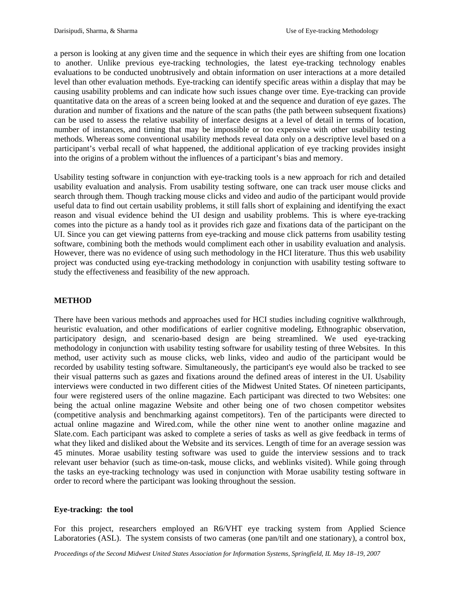a person is looking at any given time and the sequence in which their eyes are shifting from one location to another. Unlike previous eye-tracking technologies, the latest eye-tracking technology enables evaluations to be conducted unobtrusively and obtain information on user interactions at a more detailed level than other evaluation methods. Eye-tracking can identify specific areas within a display that may be causing usability problems and can indicate how such issues change over time. Eye-tracking can provide quantitative data on the areas of a screen being looked at and the sequence and duration of eye gazes. The duration and number of fixations and the nature of the scan paths (the path between subsequent fixations) can be used to assess the relative usability of interface designs at a level of detail in terms of location, number of instances, and timing that may be impossible or too expensive with other usability testing methods. Whereas some conventional usability methods reveal data only on a descriptive level based on a participant's verbal recall of what happened, the additional application of eye tracking provides insight into the origins of a problem without the influences of a participant's bias and memory.

Usability testing software in conjunction with eye-tracking tools is a new approach for rich and detailed usability evaluation and analysis. From usability testing software, one can track user mouse clicks and search through them. Though tracking mouse clicks and video and audio of the participant would provide useful data to find out certain usability problems, it still falls short of explaining and identifying the exact reason and visual evidence behind the UI design and usability problems. This is where eye-tracking comes into the picture as a handy tool as it provides rich gaze and fixations data of the participant on the UI. Since you can get viewing patterns from eye-tracking and mouse click patterns from usability testing software, combining both the methods would compliment each other in usability evaluation and analysis. However, there was no evidence of using such methodology in the HCI literature. Thus this web usability project was conducted using eye-tracking methodology in conjunction with usability testing software to study the effectiveness and feasibility of the new approach.

### **METHOD**

There have been various methods and approaches used for HCI studies including cognitive walkthrough, heuristic evaluation, and other modifications of earlier cognitive modeling**.** Ethnographic observation, participatory design, and scenario-based design are being streamlined. We used eye-tracking methodology in conjunction with usability testing software for usability testing of three Websites. In this method, user activity such as mouse clicks, web links, video and audio of the participant would be recorded by usability testing software. Simultaneously, the participant's eye would also be tracked to see their visual patterns such as gazes and fixations around the defined areas of interest in the UI. Usability interviews were conducted in two different cities of the Midwest United States. Of nineteen participants, four were registered users of the online magazine. Each participant was directed to two Websites: one being the actual online magazine Website and other being one of two chosen competitor websites (competitive analysis and benchmarking against competitors). Ten of the participants were directed to actual online magazine and Wired.com, while the other nine went to another online magazine and Slate.com. Each participant was asked to complete a series of tasks as well as give feedback in terms of what they liked and disliked about the Website and its services. Length of time for an average session was 45 minutes. Morae usability testing software was used to guide the interview sessions and to track relevant user behavior (such as time-on-task, mouse clicks, and weblinks visited). While going through the tasks an eye-tracking technology was used in conjunction with Morae usability testing software in order to record where the participant was looking throughout the session.

#### **Eye-tracking: the tool**

For this project, researchers employed an R6/VHT eye tracking system from Applied Science Laboratories (ASL). The system consists of two cameras (one pan/tilt and one stationary), a control box,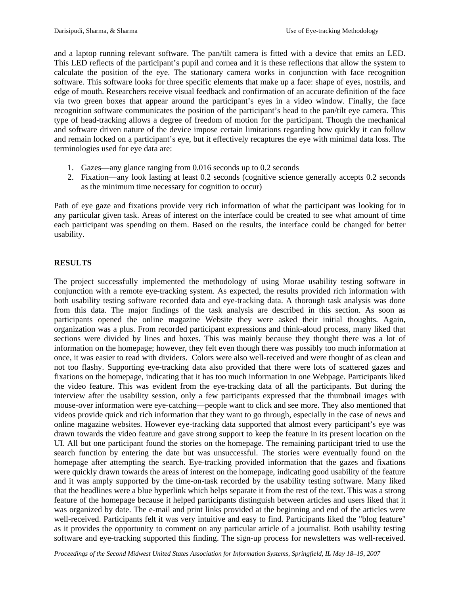and a laptop running relevant software. The pan/tilt camera is fitted with a device that emits an LED. This LED reflects of the participant's pupil and cornea and it is these reflections that allow the system to calculate the position of the eye. The stationary camera works in conjunction with face recognition software. This software looks for three specific elements that make up a face: shape of eyes, nostrils, and edge of mouth. Researchers receive visual feedback and confirmation of an accurate definition of the face via two green boxes that appear around the participant's eyes in a video window. Finally, the face recognition software communicates the position of the participant's head to the pan/tilt eye camera. This type of head-tracking allows a degree of freedom of motion for the participant. Though the mechanical and software driven nature of the device impose certain limitations regarding how quickly it can follow and remain locked on a participant's eye, but it effectively recaptures the eye with minimal data loss. The terminologies used for eye data are:

- 1. Gazes—any glance ranging from 0.016 seconds up to 0.2 seconds
- 2. Fixation—any look lasting at least 0.2 seconds (cognitive science generally accepts 0.2 seconds as the minimum time necessary for cognition to occur)

Path of eye gaze and fixations provide very rich information of what the participant was looking for in any particular given task. Areas of interest on the interface could be created to see what amount of time each participant was spending on them. Based on the results, the interface could be changed for better usability.

#### **RESULTS**

The project successfully implemented the methodology of using Morae usability testing software in conjunction with a remote eye-tracking system. As expected, the results provided rich information with both usability testing software recorded data and eye-tracking data. A thorough task analysis was done from this data. The major findings of the task analysis are described in this section. As soon as participants opened the online magazine Website they were asked their initial thoughts. Again, organization was a plus. From recorded participant expressions and think-aloud process, many liked that sections were divided by lines and boxes. This was mainly because they thought there was a lot of information on the homepage; however, they felt even though there was possibly too much information at once, it was easier to read with dividers. Colors were also well-received and were thought of as clean and not too flashy. Supporting eye-tracking data also provided that there were lots of scattered gazes and fixations on the homepage, indicating that it has too much information in one Webpage. Participants liked the video feature. This was evident from the eye-tracking data of all the participants. But during the interview after the usability session, only a few participants expressed that the thumbnail images with mouse-over information were eye-catching—people want to click and see more. They also mentioned that videos provide quick and rich information that they want to go through, especially in the case of news and online magazine websites. However eye-tracking data supported that almost every participant's eye was drawn towards the video feature and gave strong support to keep the feature in its present location on the UI. All but one participant found the stories on the homepage. The remaining participant tried to use the search function by entering the date but was unsuccessful. The stories were eventually found on the homepage after attempting the search. Eye-tracking provided information that the gazes and fixations were quickly drawn towards the areas of interest on the homepage, indicating good usability of the feature and it was amply supported by the time-on-task recorded by the usability testing software. Many liked that the headlines were a blue hyperlink which helps separate it from the rest of the text. This was a strong feature of the homepage because it helped participants distinguish between articles and users liked that it was organized by date. The e-mail and print links provided at the beginning and end of the articles were well-received. Participants felt it was very intuitive and easy to find. Participants liked the "blog feature" as it provides the opportunity to comment on any particular article of a journalist. Both usability testing software and eye-tracking supported this finding. The sign-up process for newsletters was well-received.